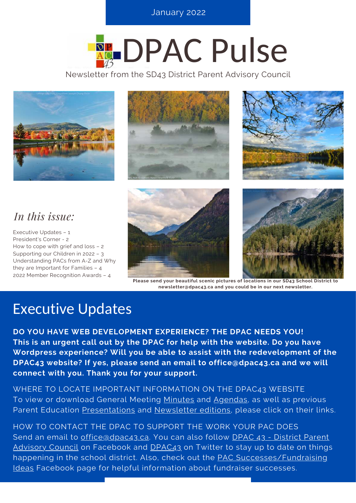**S E P T E M B E R 2 0 2 0 , I S S U E 3 O N L I N E T R E N D S** January 2022

# **REDPAC Pulse**

Newsletter from the SD43 District Parent Advisory Council





### *In this issue:*

Executive Updates – 1 President's Corner - 2 How to cope with grief and loss – 2 Supporting our Children in 2022 – 3 Understanding PACs from A-Z and Why they are Important for Families – 4 2022 Member Recognition Awards – 4





**Please send your beautiful scenic pictures of locations in our SD43 School District to newsletter@dpac43.ca and you could be in our next newsletter.**

### Executive Updates

**DO YOU HAVE WEB DEVELOPMENT EXPERIENCE? THE DPAC NEEDS YOU! This is an urgent call out by the DPAC for help with the website. Do you have Wordpress experience? Will you be able to assist with the redevelopment of the DPAC43 website? If yes, please send an email to office@dpac43.ca and we will connect with you. Thank you for your support.**

WHERE TO LOCATE IMPORTANT INFORMATION ON THE DPAC43 WEBSITE To view or download General Meeting [Minutes](https://dpac43.ca/documents-page/general-meeting-minutes-2/) and [Agendas](https://dpac43.ca/documents-page/agendas2/), as well as previous Parent Education [Presentations](https://dpac43.ca/documents-page/presentations/) and [Newsletter editions](https://dpac43.ca/documents-page/newsletters/), please click on their links.

HOW TO CONTACT THE DPAC TO SUPPORT THE WORK YOUR PAC DOES Send an email to [office@dpac43.ca](mailto:office@dpac43.ca). You can also follow DPAC 43 - District Parent [Advisory Council on Facebook and DPAC43 on Twitter to stay up to date on things](https://www.facebook.com/DPAC43) [happening in the school district. Also, check out the PAC Successes/Fundraising](https://www.facebook.com/groups/338098147962556) Ideas Facebook page for helpful information about fundraiser successes.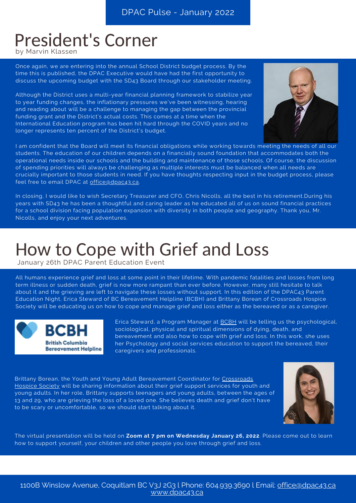# President's Corner

by Marvin Klassen

Once again, we are entering into the annual School District budget process. By the time this is published, the DPAC Executive would have had the first opportunity to discuss the upcoming budget with the SD43 Board through our stakeholder meeting.

Although the District uses a multi-year financial planning framework to stabilize year to year funding changes, the inflationary pressures we've been witnessing, hearing and reading about will be a challenge to managing the gap between the provincial funding grant and the District's actual costs. This comes at a time when the International Education program has been hit hard through the COVID years and no longer represents ten percent of the District's budget.



I am confident that the Board will meet its financial obligations while working towards meeting the needs of all our students. The education of our children depends on a financially sound foundation that accommodates both the operational needs inside our schools and the building and maintenance of those schools. Of course, the discussion of spending priorities will always be challenging as multiple interests must be balanced when all needs are crucially important to those students in need. If you have thoughts respecting input in the budget process, please feel free to email DPAC at [office@dpac43.ca](mailto:office@dpac43.ca).

In closing, I would like to wish Secretary Treasurer and CFO, Chris Nicolls, all the best in his retirement.During his years with SD43 he has been a thoughtful and caring leader as he educated all of us on sound financial practices for a school division facing population expansion with diversity in both people and geography. Thank you, Mr. Nicolls, and enjoy your next adventures.

# How to Cope with Grief and Loss

January 26th DPAC Parent Education Event

All humans experience grief and loss at some point in their lifetime. With pandemic fatalities and losses from long term illness or sudden death, grief is now more rampant than ever before. However, many still hesitate to talk about it and the grieving are left to navigate these losses without support. In this edition of the DPAC43 Parent Education Night, Erica Steward of BC Bereavement Helpline (BCBH) and Brittany Borean of Crossroads Hospice Society will be educating us on how to cope and manage grief and loss either as the bereaved or as a caregiver.



Erica Steward, a Program Manager at **BCBH** will be telling us the psychological, sociological, physical and spiritual dimensions of dying, death, and bereavement and also how to cope with grief and loss. In this work, she uses her Psychology and social services education to support the bereaved, their caregivers and professionals.

[Brittany Borean, the Youth and Young Adult Bereavement Coordinator for](https://crossroadshospice.org/) Crossroads Hospice Society will be sharing information about their grief support services for youth and young adults. In her role, Brittany supports teenagers and young adults, between the ages of 13 and 29, who are grieving the loss of a loved one. She believes death and grief don't have to be scary or uncomfortable, so we should start talking about it.



The virtual presentation will be held on **Zoom at 7 pm on Wednesday January 26, 2022**. Please come out to learn how to support yourself, your children and other people you love through grief and loss.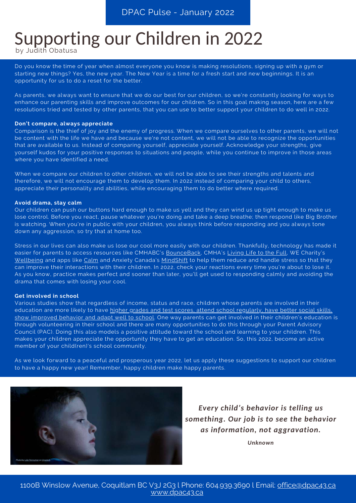### Supporting our Children in 2022 by Judith Obatusa

Do you know the time of year when almost everyone you know is making resolutions, signing up with a gym or starting new things? Yes, the new year. The New Year is a time for a fresh start and new beginnings. It is an opportunity for us to do a reset for the better.

As parents, we always want to ensure that we do our best for our children, so we're constantly looking for ways to enhance our parenting skills and improve outcomes for our children. So in this goal making season, here are a few resolutions tried and tested by other parents, that you can use to better support your children to do well in 2022.

#### **Don't compare, always appreciate**

Comparison is the thief of joy and the enemy of progress. When we compare ourselves to other parents, we will not be content with the life we have and because we're not content, we will not be able to recognize the opportunities that are available to us. Instead of comparing yourself, appreciate yourself. Acknowledge your strengths, give yourself kudos for your positive responses to situations and people, while you continue to improve in those areas where you have identified a need.

When we compare our children to other children, we will not be able to see their strengths and talents and therefore, we will not encourage them to develop them. In 2022 instead of comparing your child to others, appreciate their personality and abilities, while encouraging them to do better where required.

#### **Avoid drama, stay calm**

Our children can push our buttons hard enough to make us yell and they can wind us up tight enough to make us lose control. Before you react, pause whatever you're doing and take a deep breathe; then respond like Big Brother is watching. When you're in public with your children, you always think before responding and you always tone down any aggression, so try that at home too.

Stress in our lives can also make us lose our cool more easily with our children. Thankfully, technology has made it easier for parents to access resources like CMHABC's [BounceBack](https://bouncebackbc.ca/), CMHA's [Living Life to the Full](https://livinglifetothefull.ca/), WE Charity's [Wellbeing](https://www.we.org/en-CA/get-doing/activities-and-resources/wellbeing/) and apps like [Calm](https://www.calm.com/) and Anxiety Canada's [MindShift](https://www.anxietycanada.com/resources/mindshift-cbt/) to help them reduce and handle stress so that they can improve their interactions with their children. In 2022, check your reactions every time you're about to lose it. As you know, practice makes perfect and sooner than later, you'll get used to responding calmly and avoiding the drama that comes with losing your cool.

#### **Get involved in school**

Various studies show that regardless of income, status and race, children whose parents are involved in their education are more likely to have higher grades and test scores, attend school regularly, have better social skills, [show improved behavior and adapt well to school. One way parents can get involved in their children's education](https://www.rasmussen.edu/degrees/education/blog/parental-involvement-in-education/) is through volunteering in their school and there are many opportunities to do this through your Parent Advisory Council (PAC). Doing this also models a positive attitude toward the school and learning to your children. This makes your children appreciate the opportunity they have to get an education. So, this 2022, become an active member of your child(ren)'s school community.

As we look forward to a peaceful and prosperous year 2022, let us apply these suggestions to support our children to have a happy new year! Remember, happy children make happy parents.



*Every child's behavior is telling us something. Our job is to see the behavior as information, not aggravation.*

*Unknown*